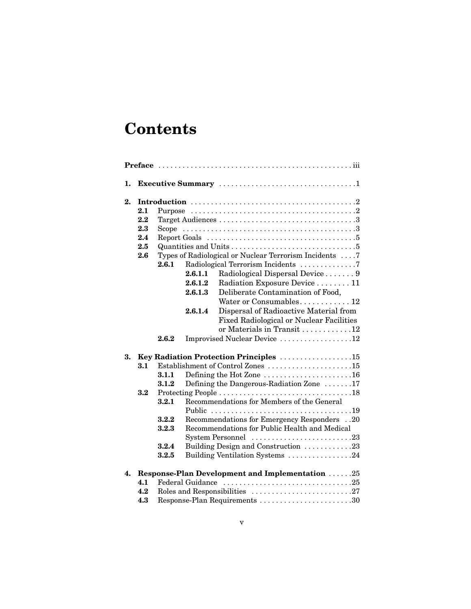## **Contents**

| 1. |                                        |                                                             |                                          |                                                                                                                                                                                                                                                                                                                                                                                                                                                     |  |  |  |
|----|----------------------------------------|-------------------------------------------------------------|------------------------------------------|-----------------------------------------------------------------------------------------------------------------------------------------------------------------------------------------------------------------------------------------------------------------------------------------------------------------------------------------------------------------------------------------------------------------------------------------------------|--|--|--|
| 2. | 2.1<br>2.2<br>2.3<br>2.4<br>2.5<br>2.6 | 2.6.1                                                       | 2.6.1.1<br>2.6.1.2<br>2.6.1.3<br>2.6.1.4 | Report Goals $\dots \dots \dots \dots \dots \dots \dots \dots \dots \dots \dots \dots$<br>Types of Radiological or Nuclear Terrorism Incidents 7<br>Radiological Terrorism Incidents 7<br>Radiological Dispersal Device 9<br>Radiation Exposure Device  11<br>Deliberate Contamination of Food,<br>Water or Consumables 12<br>Dispersal of Radioactive Material from<br><b>Fixed Radiological or Nuclear Facilities</b>                             |  |  |  |
|    |                                        | 2.6.2                                                       |                                          | or Materials in Transit 12<br>Improvised Nuclear Device 12                                                                                                                                                                                                                                                                                                                                                                                          |  |  |  |
| 3. | 3.1<br>3.2                             | 3.1.1<br>3.1.2<br>3.2.1<br>3.2.2<br>3.2.3<br>3.2.4<br>3.2.5 |                                          | Key Radiation Protection Principles 15<br>Establishment of Control Zones 15<br>Defining the Hot Zone $\dots \dots \dots \dots \dots \dots \dots \dots 16$<br>Defining the Dangerous-Radiation Zone 17<br>Recommendations for Members of the General<br>Recommendations for Emergency Responders20<br>Recommendations for Public Health and Medical<br>System Personnel 23<br>Building Design and Construction 23<br>Building Ventilation Systems 24 |  |  |  |
| 4. | 4.1<br>4.2<br>4.3                      |                                                             |                                          | Response-Plan Development and Implementation 25<br>Response-Plan Requirements 30                                                                                                                                                                                                                                                                                                                                                                    |  |  |  |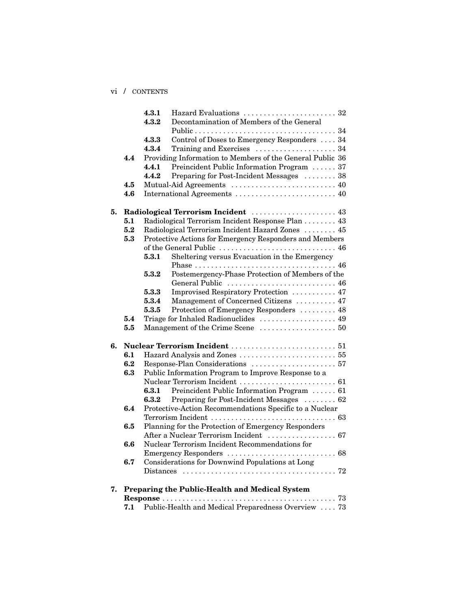vi / CONTENTS

|    |     | 4.3.1<br>Hazard Evaluations  32                                 |
|----|-----|-----------------------------------------------------------------|
|    |     | Decontamination of Members of the General<br>4.3.2              |
|    |     |                                                                 |
|    |     | Control of Doses to Emergency Responders  34<br>4.3.3           |
|    |     | 4.3.4                                                           |
|    | 4.4 | Providing Information to Members of the General Public 36       |
|    |     | 4.4.1<br>Preincident Public Information Program  37             |
|    |     | 4.4.2<br>Preparing for Post-Incident Messages  38               |
|    | 4.5 |                                                                 |
|    | 4.6 |                                                                 |
| 5. |     | Radiological Terrorism Incident  43                             |
|    | 5.1 | Radiological Terrorism Incident Response Plan 43                |
|    | 5.2 | Radiological Terrorism Incident Hazard Zones  45                |
|    | 5.3 | Protective Actions for Emergency Responders and Members         |
|    |     | of the General Public  46                                       |
|    |     | Sheltering versus Evacuation in the Emergency<br>5.3.1          |
|    |     |                                                                 |
|    |     | Postemergency-Phase Protection of Members of the<br>$\bf 5.3.2$ |
|    |     | General Public  46                                              |
|    |     | Improvised Respiratory Protection  47<br>5.3.3                  |
|    |     | Management of Concerned Citizens  47<br>$\boldsymbol{5.3.4}$    |
|    |     | Protection of Emergency Responders  48<br>5.3.5                 |
|    | 5.4 | Triage for Inhaled Radionuclides  49                            |
|    | 5.5 |                                                                 |
| 6. |     |                                                                 |
|    | 6.1 |                                                                 |
|    | 6.2 |                                                                 |
|    | 6.3 | Public Information Program to Improve Response to a             |
|    |     |                                                                 |
|    |     | Preincident Public Information Program  61<br>6.3.1             |
|    |     | Preparing for Post-Incident Messages  62<br>$\bf{6.3.2}$        |
|    | 6.4 | Protective-Action Recommendations Specific to a Nuclear         |
|    |     |                                                                 |
|    | 6.5 | Planning for the Protection of Emergency Responders             |
|    |     |                                                                 |
|    | 6.6 | Nuclear Terrorism Incident Recommendations for                  |
|    |     | $\ldots 68$<br>Emergency Responders                             |
|    | 6.7 | Considerations for Downwind Populations at Long                 |
|    |     |                                                                 |
| 7. |     | Preparing the Public-Health and Medical System                  |
|    |     |                                                                 |
|    | 7.1 | Public-Health and Medical Preparedness Overview  73             |
|    |     |                                                                 |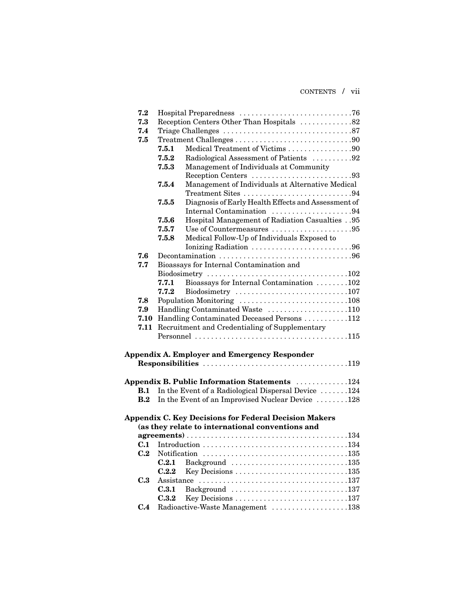CONTENTS / vii

| 7.2        |           |                                            |                                                                   |  |  |  |  |
|------------|-----------|--------------------------------------------|-------------------------------------------------------------------|--|--|--|--|
| 7.3        |           | Reception Centers Other Than Hospitals 82  |                                                                   |  |  |  |  |
| 7.4        |           |                                            |                                                                   |  |  |  |  |
| 7.5        |           |                                            |                                                                   |  |  |  |  |
|            |           | 7.5.1                                      | Medical Treatment of Victims 90                                   |  |  |  |  |
|            |           | $\bf 7.5.2$                                | Radiological Assessment of Patients 92                            |  |  |  |  |
|            |           | 7.5.3                                      | Management of Individuals at Community                            |  |  |  |  |
|            |           |                                            | Reception Centers 93                                              |  |  |  |  |
|            |           | 7.5.4                                      | Management of Individuals at Alternative Medical                  |  |  |  |  |
|            |           |                                            | Treatment Sites 94                                                |  |  |  |  |
|            |           | 7.5.5                                      | Diagnosis of Early Health Effects and Assessment of               |  |  |  |  |
|            |           |                                            | Internal Contamination 94                                         |  |  |  |  |
|            |           | $\bf 7.5.6$                                | Hospital Management of Radiation Casualties 95                    |  |  |  |  |
|            |           | 7.5.7                                      | Use of Countermeasures 95                                         |  |  |  |  |
|            |           | 7.5.8                                      | Medical Follow-Up of Individuals Exposed to                       |  |  |  |  |
|            |           |                                            | Ionizing Radiation 96                                             |  |  |  |  |
| 7.6        |           |                                            |                                                                   |  |  |  |  |
| 7.7        |           |                                            | Bioassays for Internal Contamination and                          |  |  |  |  |
|            |           | 7.7.1                                      | Bioassays for Internal Contamination 102                          |  |  |  |  |
|            |           | 7.7.2                                      |                                                                   |  |  |  |  |
| 7.8        |           |                                            |                                                                   |  |  |  |  |
| 7.9        |           |                                            | Handling Contaminated Waste 110                                   |  |  |  |  |
|            | 7.10      | Handling Contaminated Deceased Persons 112 |                                                                   |  |  |  |  |
|            | 7.11      |                                            | Recruitment and Credentialing of Supplementary                    |  |  |  |  |
|            |           |                                            |                                                                   |  |  |  |  |
|            |           |                                            |                                                                   |  |  |  |  |
|            |           |                                            | Appendix A. Employer and Emergency Responder                      |  |  |  |  |
|            |           |                                            |                                                                   |  |  |  |  |
|            |           |                                            |                                                                   |  |  |  |  |
|            |           |                                            | Appendix B. Public Information Statements 124                     |  |  |  |  |
| <b>B.1</b> |           |                                            | In the Event of a Radiological Dispersal Device $\dots \dots 124$ |  |  |  |  |
|            | $\bf B.2$ |                                            | In the Event of an Improvised Nuclear Device 128                  |  |  |  |  |
|            |           |                                            |                                                                   |  |  |  |  |
|            |           |                                            | <b>Appendix C. Key Decisions for Federal Decision Makers</b>      |  |  |  |  |
|            |           |                                            | (as they relate to international conventions and                  |  |  |  |  |
|            |           |                                            |                                                                   |  |  |  |  |
|            |           |                                            |                                                                   |  |  |  |  |
|            |           |                                            |                                                                   |  |  |  |  |
|            |           | C.2.1                                      | Background 135                                                    |  |  |  |  |
|            |           | C.2.2                                      |                                                                   |  |  |  |  |
| C.3        |           |                                            |                                                                   |  |  |  |  |
|            |           | C.3.1                                      | Background 137                                                    |  |  |  |  |
|            |           | C.3.2                                      |                                                                   |  |  |  |  |
| C.4        |           |                                            | Radioactive-Waste Management 138                                  |  |  |  |  |